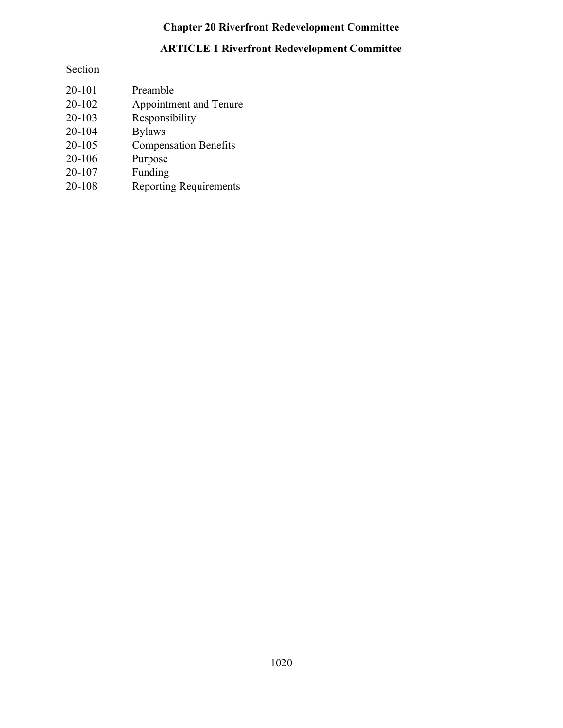# Chapter 20 Riverfront Redevelopment Committee

# ARTICLE 1 Riverfront Redevelopment Committee

## Section

| 20-101 | Preamble                      |
|--------|-------------------------------|
| 20-102 | Appointment and Tenure        |
| 20-103 | Responsibility                |
| 20-104 | <b>Bylaws</b>                 |
| 20-105 | <b>Compensation Benefits</b>  |
| 20-106 | Purpose                       |
| 20-107 | Funding                       |
| 20-108 | <b>Reporting Requirements</b> |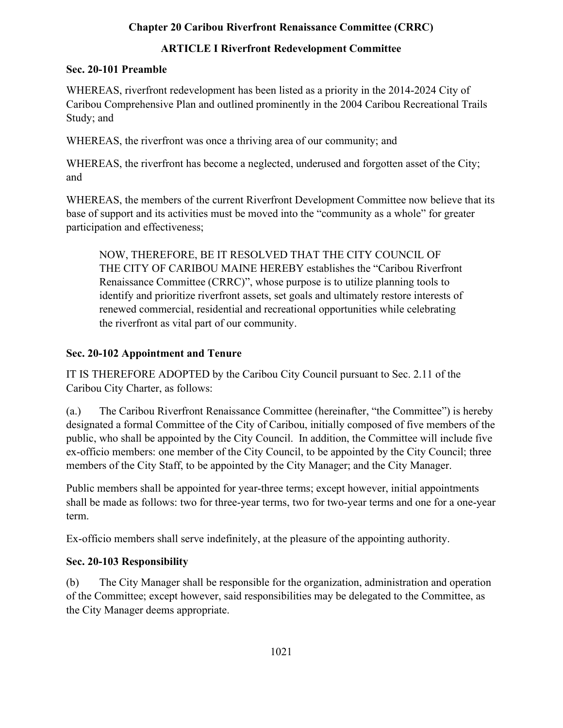### Chapter 20 Caribou Riverfront Renaissance Committee (CRRC)

## ARTICLE I Riverfront Redevelopment Committee

#### Sec. 20-101 Preamble

WHEREAS, riverfront redevelopment has been listed as a priority in the 2014-2024 City of Caribou Comprehensive Plan and outlined prominently in the 2004 Caribou Recreational Trails Study; and

WHEREAS, the riverfront was once a thriving area of our community; and

WHEREAS, the riverfront has become a neglected, underused and forgotten asset of the City; and

WHEREAS, the members of the current Riverfront Development Committee now believe that its base of support and its activities must be moved into the "community as a whole" for greater participation and effectiveness;

NOW, THEREFORE, BE IT RESOLVED THAT THE CITY COUNCIL OF THE CITY OF CARIBOU MAINE HEREBY establishes the "Caribou Riverfront Renaissance Committee (CRRC)", whose purpose is to utilize planning tools to identify and prioritize riverfront assets, set goals and ultimately restore interests of renewed commercial, residential and recreational opportunities while celebrating the riverfront as vital part of our community.

## Sec. 20-102 Appointment and Tenure

IT IS THEREFORE ADOPTED by the Caribou City Council pursuant to Sec. 2.11 of the Caribou City Charter, as follows:

(a.) The Caribou Riverfront Renaissance Committee (hereinafter, "the Committee") is hereby designated a formal Committee of the City of Caribou, initially composed of five members of the public, who shall be appointed by the City Council. In addition, the Committee will include five ex-officio members: one member of the City Council, to be appointed by the City Council; three members of the City Staff, to be appointed by the City Manager; and the City Manager.

Public members shall be appointed for year-three terms; except however, initial appointments shall be made as follows: two for three-year terms, two for two-year terms and one for a one-year term.

Ex-officio members shall serve indefinitely, at the pleasure of the appointing authority.

# Sec. 20-103 Responsibility

(b) The City Manager shall be responsible for the organization, administration and operation of the Committee; except however, said responsibilities may be delegated to the Committee, as the City Manager deems appropriate.